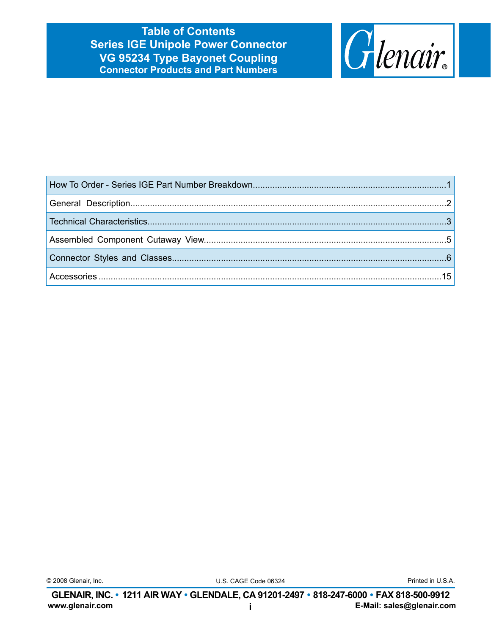**Table of Contents Series IGE Unipole Power Connector VG 95234 Type Bayonet Coupling Connector Products and Part Numbers**



|  | © 2008 Glenair, Inc. |  |
|--|----------------------|--|
|--|----------------------|--|

U.S. CAGE Code 06324 © 2008 Glenair, Inc. Printed in U.S.A.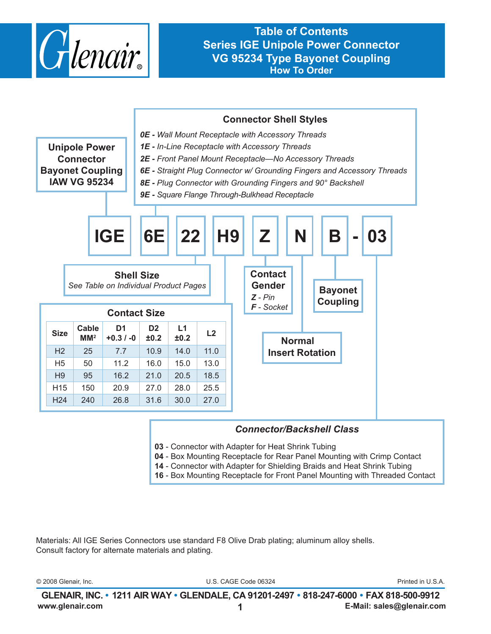

**Table of Contents Series IGE Unipole Power Connector VG 95234 Type Bayonet Coupling How To Order**



#### *Connector/Backshell Class*

- **03** Connector with Adapter for Heat Shrink Tubing
- **04** Box Mounting Receptacle for Rear Panel Mounting with Crimp Contact
- **14** Connector with Adapter for Shielding Braids and Heat Shrink Tubing
- **16** Box Mounting Receptacle for Front Panel Mounting with Threaded Contact

Materials: All IGE Series Connectors use standard F8 Olive Drab plating; aluminum alloy shells. Consult factory for alternate materials and plating.

| 2008 Glenair.<br>Inc. | 06324<br>CAGE 1<br>. :ode '<br>. | <b>Printed</b><br>◡…<br>$\frac{1}{2} \left( \frac{1}{2} \right) \left( \frac{1}{2} \right) \left( \frac{1}{2} \right)$ |
|-----------------------|----------------------------------|------------------------------------------------------------------------------------------------------------------------|
|                       |                                  |                                                                                                                        |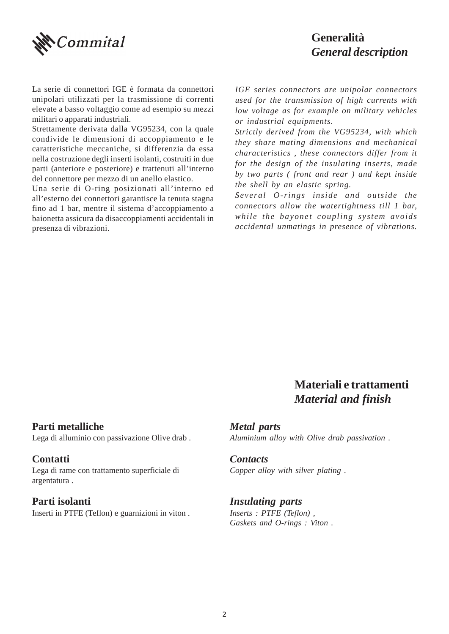

#### **Generalità** *General description*

La serie di connettori IGE è formata da connettori unipolari utilizzati per la trasmissione di correnti elevate a basso voltaggio come ad esempio su mezzi militari o apparati industriali.

Strettamente derivata dalla VG95234, con la quale condivide le dimensioni di accoppiamento e le caratteristiche meccaniche, si differenzia da essa nella costruzione degli inserti isolanti, costruiti in due parti (anteriore e posteriore) e trattenuti all'interno del connettore per mezzo di un anello elastico.

Una serie di O-ring posizionati all'interno ed all'esterno dei connettori garantisce la tenuta stagna fino ad 1 bar, mentre il sistema d'accoppiamento a baionetta assicura da disaccoppiamenti accidentali in presenza di vibrazioni.

*IGE series connectors are unipolar connectors used for the transmission of high currents with low voltage as for example on military vehicles or industrial equipments.*

*Strictly derived from the VG95234, with which they share mating dimensions and mechanical characteristics , these connectors differ from it for the design of the insulating inserts, made by two parts ( front and rear ) and kept inside the shell by an elastic spring.*

*Several O-rings inside and outside the connectors allow the watertightness till 1 bar, while the bayonet coupling system avoids accidental unmatings in presence of vibrations.*

### **Materiali e trattamenti** *Material and finish*

**Parti metalliche** Lega di alluminio con passivazione Olive drab .

**Contatti** Lega di rame con trattamento superficiale di argentatura .

#### **Parti isolanti**

Inserti in PTFE (Teflon) e guarnizioni in viton .

*Metal parts Aluminium alloy with Olive drab passivation .*

#### *Contacts*

*Copper alloy with silver plating .*

#### *Insulating parts*

*Inserts : PTFE (Teflon) , Gaskets and O-rings : Viton .*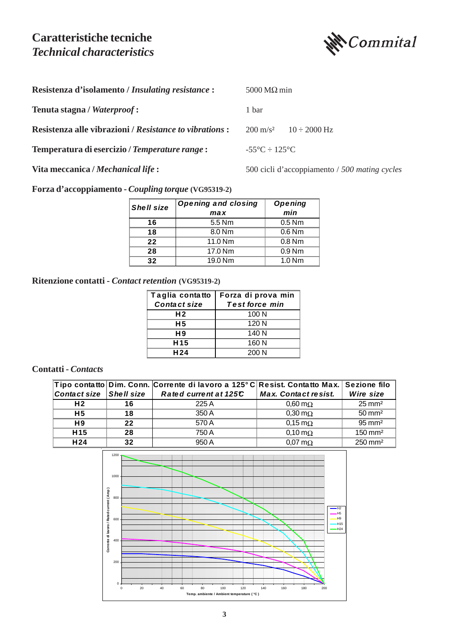#### **Caratteristiche tecniche** *Technical characteristics*



| Resistenza d'isolamento / Insulating resistance :             | $5000 \,\mathrm{M}\Omega$ min    |                                               |  |  |  |
|---------------------------------------------------------------|----------------------------------|-----------------------------------------------|--|--|--|
| Tenuta stagna / Waterproof:                                   | 1 bar                            |                                               |  |  |  |
| <b>Resistenza alle vibrazioni / Resistance to vibrations:</b> | $200 \text{ m/s}^2$              | $10 \div 2000$ Hz                             |  |  |  |
| Temperatura di esercizio / Temperature range:                 | $-55^{\circ}C \div 125^{\circ}C$ |                                               |  |  |  |
| Vita meccanica / Mechanical life :                            |                                  | 500 cicli d'accoppiamento / 500 mating cycles |  |  |  |

**Forza d'accoppiamento -** *Coupling torque* **(VG95319-2)**

| <b>Shell size</b> | <b>Opening and closing</b> | <b>Opening</b>    |  |  |
|-------------------|----------------------------|-------------------|--|--|
|                   | ma x                       | min               |  |  |
|                   | 5.5 Nm                     | $0.5$ Nm          |  |  |
| 1 R               | 8.0 <sub>Nm</sub>          | $0.6$ Nm          |  |  |
| フフ                | 11.0 Nm                    | $0.8$ Nm          |  |  |
| 28                | 17.0 Nm                    | 0.9 <sub>Nm</sub> |  |  |
|                   | 19.0 Nm                    | $1.0$ Nm          |  |  |

#### **Ritenzione contatti -** *Contact retention* **(VG95319-2)**

|                 | Taglia contatto   Forza di prova min |
|-----------------|--------------------------------------|
| Contact size    | <b>Test force min</b>                |
| H <sub>2</sub>  | 100 N                                |
| н5              | 120N                                 |
| H 9             | 140 N                                |
| H <sub>15</sub> | 160 N                                |
| H <sub>24</sub> | 200 N                                |

#### **Contatti -** *Contacts*

|                         |    | Tipo contatto Dim. Conn. Corrente di lavoro a 125°C Resist. Contatto Max. Sezione filo |                             |                    |
|-------------------------|----|----------------------------------------------------------------------------------------|-----------------------------|--------------------|
| Contact size Shell size |    | Rated current at 125C                                                                  | <b>Max. Contact resist.</b> | Wire size          |
| H <sub>2</sub>          | 16 | 225 A                                                                                  | $0.60 \text{ m}\Omega$      | $25 \text{ mm}^2$  |
| H <sub>5</sub>          | 18 | 350 A                                                                                  | $0,30 \text{ m}\Omega$      | $50 \text{ mm}^2$  |
| H <sub>9</sub>          | 22 | 570 A                                                                                  | $0.15 \,\mathrm{m}\Omega$   | $95 \text{ mm}^2$  |
| H <sub>15</sub>         | 28 | 750 A                                                                                  | $0.10 \,\mathrm{m}\Omega$   | $150 \text{ mm}^2$ |
| H <sub>24</sub>         | 32 | 950A                                                                                   | $0.07 \text{ m}\Omega$      | $250 \text{ mm}^2$ |

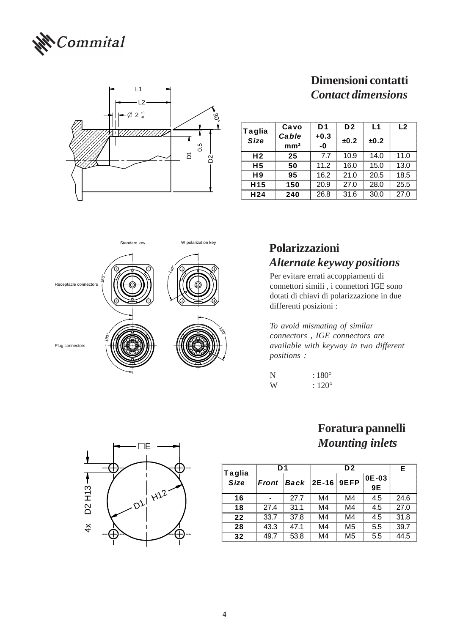



# **Dimensioni contatti** *Contact dimensions*

| Taglia          | Cavo            | D1     | D <sub>2</sub> | L1   | L <sub>2</sub> |
|-----------------|-----------------|--------|----------------|------|----------------|
| <b>Size</b>     | Cable           | $+0.3$ | ±0.2           | ±0.2 |                |
|                 | mm <sup>2</sup> | -0     |                |      |                |
| H <sub>2</sub>  | 25              | 7.7    | 10.9           | 14.0 | 11.0           |
| Η5              | 50              | 11.2   | 16.0           | 15.0 | 13.0           |
| H9              | 95              | 16.2   | 21.0           | 20.5 | 18.5           |
| H <sub>15</sub> | 150             | 20.9   | 27.0           | 28.0 | 25.5           |
| H 24            | 240             | 26.8   | 31.6           | 30.0 | 27.0           |



# *Alternate keyway positions*

Per evitare errati accoppiamenti di connettori simili , i connettori IGE sono dotati di chiavi di polarizzazione in due differenti posizioni :

*To avoid mismating of similar connectors , IGE connectors are available with keyway in two different positions :*

| N | $:180^{\circ}$  |
|---|-----------------|
| W | $: 120^{\circ}$ |

#### **Foratura pannelli** *Mounting inlets*

|                              | D1    |                                    |    | Е              |               |      |
|------------------------------|-------|------------------------------------|----|----------------|---------------|------|
| <b>Taglia</b><br><b>Size</b> | Front | $\vert$ <i>Back</i>   2E-16   9EFP |    |                | $0E-03$<br>9E |      |
| 16                           |       | 27.7                               | M4 | M4             | 4.5           | 24.6 |
| 18                           | 27.4  | 31.1                               | M4 | M4             | 4.5           | 27.0 |
| 22                           | 33.7  | 37.8                               | M4 | M4             | 4.5           | 31.8 |
| 28                           | 43.3  | 47.1                               | M4 | M <sub>5</sub> | 5.5           | 39.7 |
| 32                           | 49 7  | 53.8                               | M4 | M <sub>5</sub> | 5.5           | 44.5 |

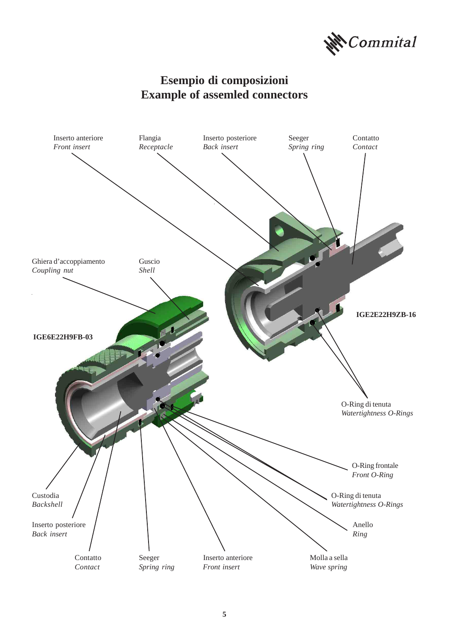

## **Esempio di composizioni Example of assemled connectors**

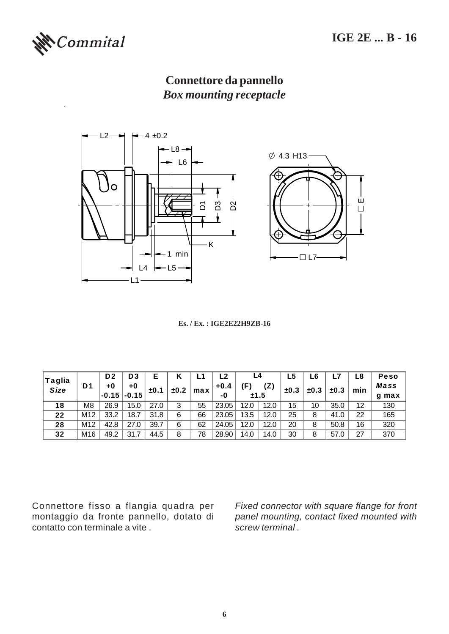

## **Connettore da pannello** *Box mounting receptacle*



**Es. / Ex. : IGE2E22H9ZB-16**

|                       |                 | D <sub>2</sub> | D <sub>3</sub>                      | E    | κ    |     | L2     | L4   |      | L5   | L6   |      | L8  | <b>Peso</b> |
|-----------------------|-----------------|----------------|-------------------------------------|------|------|-----|--------|------|------|------|------|------|-----|-------------|
| Taglia<br><b>Size</b> | D <sub>1</sub>  | +0             | +0                                  | ±0.1 | ±0.2 | max | $+0.4$ | Έ)   | (Z)  | ±0.3 | ±0.3 | ±0.3 |     | <b>Mass</b> |
|                       |                 |                | $\vert$ -0.15 $\vert$ -0.15 $\vert$ |      |      |     | -0     | ±1.5 |      |      |      |      | min | q max       |
| 18                    | M8              | 26.9           | 15.0                                | 27.0 | 3    | 55  | 23.05  | 12.0 | 12.0 | 15   | 10   | 35.0 | 12  | 130         |
| 22                    | M12             | 33.2           | 18.7                                | 31.8 | 6    | 66  | 23.05  | 13.5 | 12.0 | 25   | 8    | 41.0 | 22  | 165         |
| 28                    | M <sub>12</sub> | 42.8           | 27.0                                | 39.7 | 6    | 62  | 24.05  | 12.0 | 12.0 | 20   | 8    | 50.8 | 16  | 320         |
| 32                    | M16             | 49.2           | 31.7                                | 44.5 | 8    | 78  | 28.90  | 14.0 | 14.0 | 30   | 8    | 57.0 | 27  | 370         |

Connettore fisso a flangia quadra per montaggio da fronte pannello, dotato di contatto con terminale a vite .

*Fixed connector with square flange for front panel mounting, contact fixed mounted with screw terminal .*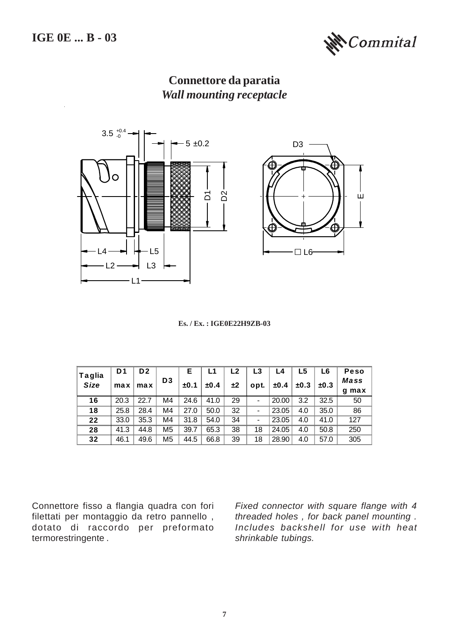

# **Connettore da paratia** *Wall mounting receptacle*



**Es. / Ex. : IGE0E22H9ZB-03**

| <b>Taglia</b> | D1   | D2   |                | Е    | L1   | L2 | L3   | L4    | L5   | L6   | <b>Peso</b> |
|---------------|------|------|----------------|------|------|----|------|-------|------|------|-------------|
| <b>Size</b>   | max  | max  | D <sub>3</sub> | ±0.1 | ±0.4 | ±2 | opt. | ±0.4  | ±0.3 | ±0.3 | Mass        |
|               |      |      |                |      |      |    |      |       |      |      | q max       |
| 16            | 20.3 | 22.7 | M4             | 24.6 | 41.0 | 29 | -    | 20.00 | 3.2  | 32.5 | 50          |
| 18            | 25.8 | 28.4 | M4             | 27.0 | 50.0 | 32 |      | 23.05 | 4.0  | 35.0 | 86          |
| 22            | 33.0 | 35.3 | M4             | 31.8 | 54.0 | 34 |      | 23.05 | 4.0  | 41.0 | 127         |
| 28            | 41.3 | 44.8 | M <sub>5</sub> | 39.7 | 65.3 | 38 | 18   | 24.05 | 4.0  | 50.8 | 250         |
| 32            | 46.1 | 49.6 | M <sub>5</sub> | 44.5 | 66.8 | 39 | 18   | 28.90 | 4.0  | 57.0 | 305         |

Connettore fisso a flangia quadra con fori filettati per montaggio da retro pannello , dotato di raccordo per preformato termorestringente .

*Fixed connector with square flange with 4 threaded holes , for back panel mounting . Includes backshell for use with heat shrinkable tubings.*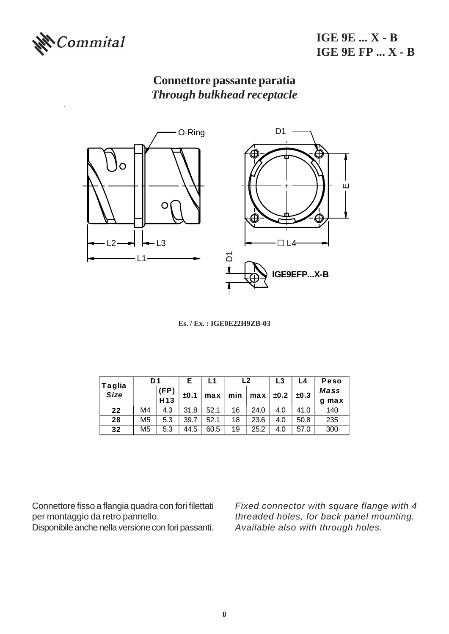

**IGE 9E ... X - B IGE 9E FP ... X - B**

# **Connettore passante paratia** *Through bulkhead receptacle*



**Es. / Ex. : IGE0E22H9ZB-03**

| <b>Taglia</b> | D <sub>1</sub> |                 | Е    | L1   | L <sub>2</sub> |      | L3   | L4   | Peso        |
|---------------|----------------|-----------------|------|------|----------------|------|------|------|-------------|
| <b>Size</b>   |                | (FP)            | ±0.1 | max  | min            | max  | ±0.2 | ±0.3 | <b>Mass</b> |
|               |                | H <sub>13</sub> |      |      |                |      |      |      | max<br>g    |
| 22            | M4             | 4.3             | 31.8 | 52.1 | 16             | 24.0 | 4.0  | 41.0 | 140         |
| 28            | M <sub>5</sub> | 5.3             | 39.7 | 52.1 | 18             | 23.6 | 4.0  | 50.8 | 235         |
| 32            | M <sub>5</sub> | 5.3             | 44.5 | 60.5 | 19             | 25.2 | 4.0  | 57.0 | 300         |

Connettore fisso a flangia quadra con fori filettati per montaggio da retro pannello.

Disponibile anche nella versione con fori passanti.

*Fixed connector with square flange with 4 threaded holes, for back panel mounting. Available also with through holes.*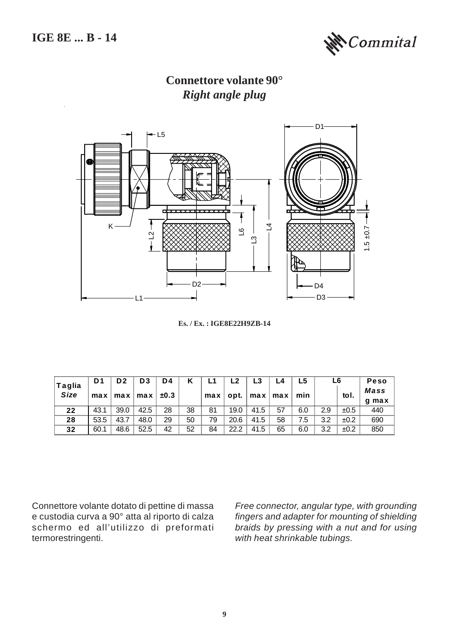

**Connettore volante 90°** *Right angle plug*



**Es. / Ex. : IGE8E22H9ZB-14**

| <b>Taglia</b> | D1   | D <sub>2</sub> | D <sub>3</sub>        | D <sub>4</sub> |    |     | L <sub>2</sub> |      | L4                                                   | L5  | L6  |      | <b>Peso</b> |
|---------------|------|----------------|-----------------------|----------------|----|-----|----------------|------|------------------------------------------------------|-----|-----|------|-------------|
| <b>Size</b>   | max  |                | $max$ max $\parallel$ | ±0.3           |    | max | opt.           |      | $\lceil \max \rceil$ max $\lceil \frac{1}{2} \rceil$ | min |     | tol. | <b>Mass</b> |
|               |      |                |                       |                |    |     |                |      |                                                      |     |     |      | q max       |
| 22            | 43.1 | 39.0           | 42.5                  | 28             | 38 | 81  | 19.0           | 41.5 | 57                                                   | 6.0 | 2.9 | ±0.5 | 440         |
| 28            | 53.5 | 43.7           | 48.0                  | 29             | 50 | 79  | 20.6           | 41.5 | 58                                                   | 7.5 | 3.2 | ±0.2 | 690         |
| 32            | 60.1 | 48.6           | 52.5                  | 42             | 52 | 84  | 22.2           | 41.5 | 65                                                   | 6.0 | 3.2 | ±0.2 | 850         |

Connettore volante dotato di pettine di massa e custodia curva a 90° atta al riporto di calza schermo ed all'utilizzo di preformati termorestringenti.

*Free connector, angular type, with grounding fingers and adapter for mounting of shielding braids by pressing with a nut and for using with heat shrinkable tubings.*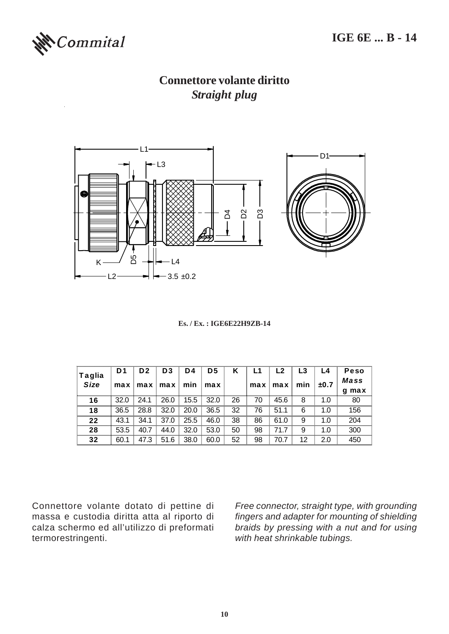

#### **Connettore volante diritto** *Straight plug*



#### **Es. / Ex. : IGE6E22H9ZB-14**

| Taglia      | D <sub>1</sub> | D <sub>2</sub> | D <sub>3</sub> | D4   | D <sub>5</sub> | κ  | L1  | L2   | L3  | L4   | <b>Peso</b> |
|-------------|----------------|----------------|----------------|------|----------------|----|-----|------|-----|------|-------------|
| <b>Size</b> | max            | max            | max            | min  | max            |    | max | max  | min | ±0.7 | Mass        |
|             |                |                |                |      |                |    |     |      |     |      | q max       |
| 16          | 32.0           | 24.1           | 26.0           | 15.5 | 32.0           | 26 | 70  | 45.6 | 8   | 1.0  | 80          |
| 18          | 36.5           | 28.8           | 32.0           | 20.0 | 36.5           | 32 | 76  | 51.1 | 6   | 1.0  | 156         |
| 22          | 43.1           | 34.1           | 37.0           | 25.5 | 46.0           | 38 | 86  | 61.0 | 9   | 1.0  | 204         |
| 28          | 53.5           | 40.7           | 44.0           | 32.0 | 53.0           | 50 | 98  | 71.7 | 9   | 1.0  | 300         |
| 32          | 60.1           | 47.3           | 51.6           | 38.0 | 60.0           | 52 | 98  | 70.7 | 12  | 2.0  | 450         |

Connettore volante dotato di pettine di massa e custodia diritta atta al riporto di calza schermo ed all'utilizzo di preformati termorestringenti.

*Free connector, straight type, with grounding fingers and adapter for mounting of shielding braids by pressing with a nut and for using with heat shrinkable tubings.*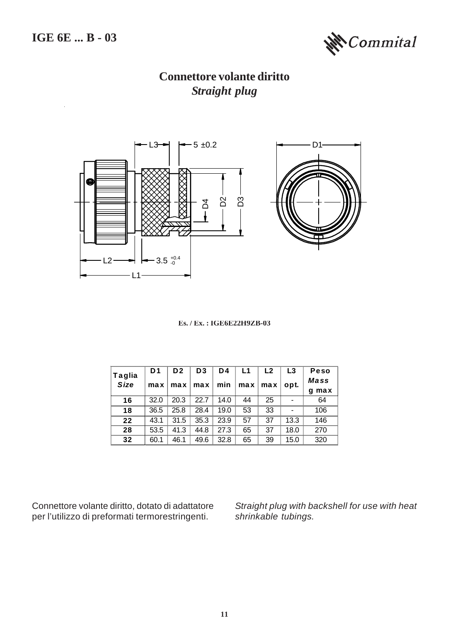

**Connettore volante diritto** *Straight plug*



**Es. / Ex. : IGE6E22H9ZB-03**

| Taglia      | D <sub>1</sub> | D <sub>2</sub> | D <sub>3</sub> | D4   | L1  | L <sub>2</sub> | L <sub>3</sub> | Peso        |
|-------------|----------------|----------------|----------------|------|-----|----------------|----------------|-------------|
| <b>Size</b> | max            | max            | max            | min  | max | max            | opt.           | <b>Mass</b> |
|             |                |                |                |      |     |                |                | max<br>α    |
| 16          | 32.0           | 20.3           | 22.7           | 14.0 | 44  | 25             |                | 64          |
| 18          | 36.5           | 25.8           | 28.4           | 19.0 | 53  | 33             |                | 106         |
| 22          | 43.1           | 31.5           | 35.3           | 23.9 | 57  | 37             | 13.3           | 146         |
| 28          | 53.5           | 41.3           | 44.8           | 27.3 | 65  | 37             | 18.0           | 270         |
| 32          | 60.1           | 46.1           | 49.6           | 32.8 | 65  | 39             | 15.0           | 320         |

Connettore volante diritto, dotato di adattatore per l'utilizzo di preformati termorestringenti.

*Straight plug with backshell for use with heat shrinkable tubings.*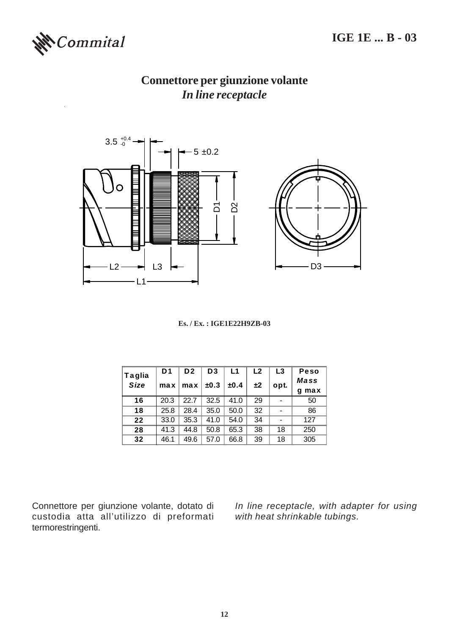

## **Connettore per giunzione volante** *In line receptacle*



| <b>Taglia</b> | D1   | D <sub>2</sub> | D <sub>3</sub> | L1   | L <sub>2</sub> | L3   | Peso<br>Mass |
|---------------|------|----------------|----------------|------|----------------|------|--------------|
| Size          |      | $max$ max      | ±0.3           | ±0.4 | ±2             | opt. | max<br>a     |
| 16            | 20.3 | 22.7           | 32.5           | 41.0 | 29             |      | 50           |
| 18            | 25.8 | 28.4           | 35.0           | 50.0 | 32             |      | 86           |
| 22            | 33.0 | 35.3           | 41.0           | 54.0 | 34             |      | 127          |
| 28            | 41.3 | 44.8           | 50.8           | 65.3 | 38             | 18   | 250          |
| 32            | 46.1 | 49.6           | 57.0           | 66.8 | 39             | 18   | 305          |

Connettore per giunzione volante, dotato di custodia atta all'utilizzo di preformati termorestringenti.

*In line receptacle, with adapter for using with heat shrinkable tubings.*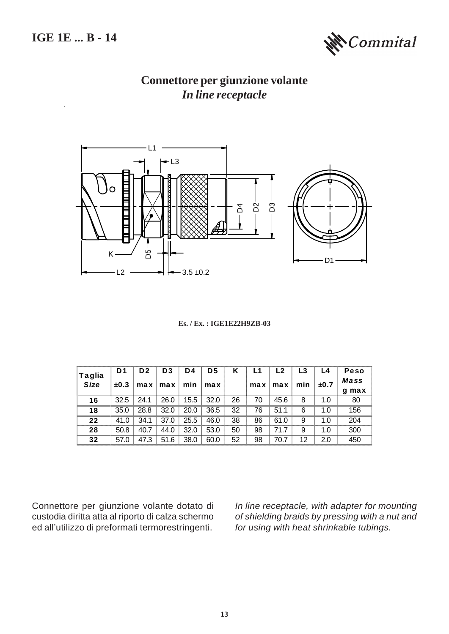#### **IGE 1E ... B - 14**



## **Connettore per giunzione volante** *In line receptacle*



#### **Es. / Ex. : IGE1E22H9ZB-03**

| Taglia      | D <sub>1</sub> | D <sub>2</sub> | D <sub>3</sub> | D4   | D <sub>5</sub> | Κ  | L1  | L <sub>2</sub> | L3  | L4   | Peso  |
|-------------|----------------|----------------|----------------|------|----------------|----|-----|----------------|-----|------|-------|
| <b>Size</b> | ±0.3           | max            | max            | min  | max            |    | max | max            | min | ±0.7 | Mass  |
|             |                |                |                |      |                |    |     |                |     |      | g max |
| 16          | 32.5           | 24.1           | 26.0           | 15.5 | 32.0           | 26 | 70  | 45.6           | 8   | 1.0  | 80    |
| 18          | 35.0           | 28.8           | 32.0           | 20.0 | 36.5           | 32 | 76  | 51.1           | 6   | 1.0  | 156   |
| 22          | 41.0           | 34.1           | 37.0           | 25.5 | 46.0           | 38 | 86  | 61.0           | 9   | 1.0  | 204   |
| 28          | 50.8           | 40.7           | 44.0           | 32.0 | 53.0           | 50 | 98  | 71.7           | 9   | 1.0  | 300   |
| 32          | 57.0           | 47.3           | 51.6           | 38.0 | 60.0           | 52 | 98  | 70.7           | 12  | 2.0  | 450   |

Connettore per giunzione volante dotato di custodia diritta atta al riporto di calza schermo ed all'utilizzo di preformati termorestringenti.

*In line receptacle, with adapter for mounting of shielding braids by pressing with a nut and for using with heat shrinkable tubings.*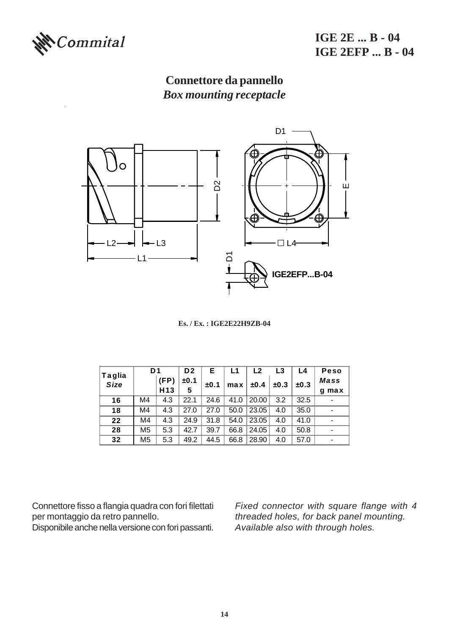

**IGE 2E ... B - 04 IGE 2EFP ... B - 04**

## **Connettore da pannello** *Box mounting receptacle*



**Es. / Ex. : IGE2E22H9ZB-04**

|                       | D <sub>1</sub> |                 | D <sub>2</sub> | Е    | L1   | L <sub>2</sub> | L <sub>3</sub> | L4   | <b>Peso</b> |
|-----------------------|----------------|-----------------|----------------|------|------|----------------|----------------|------|-------------|
| Taglia<br><b>Size</b> |                | (FP)            | ±0.1           | ±0.1 | max  | ±0.4           | ±0.3           | ±0.3 | Mass        |
|                       |                | H <sub>13</sub> | 5              |      |      |                |                |      | max<br>a    |
| 16                    | M4             | 4.3             | 22.1           | 24.6 | 41.0 | 20.00          | 3.2            | 32.5 |             |
| 18                    | M4             | 4.3             | 27.0           | 27.0 | 50.0 | 23.05          | 4.0            | 35.0 |             |
| 22                    | M4             | 4.3             | 24.9           | 31.8 | 54.0 | 23.05          | 4.0            | 41.0 |             |
| 28                    | M <sub>5</sub> | 5.3             | 42.7           | 39.7 | 66.8 | 24.05          | 4.0            | 50.8 |             |
| 32                    | M <sub>5</sub> | 5.3             | 49.2           | 44.5 | 66.8 | 28.90          | 4.0            | 57.0 |             |

Connettore fisso a flangia quadra con fori filettati per montaggio da retro pannello.

Disponibile anche nella versione con fori passanti.

*Fixed connector with square flange with 4 threaded holes, for back panel mounting. Available also with through holes.*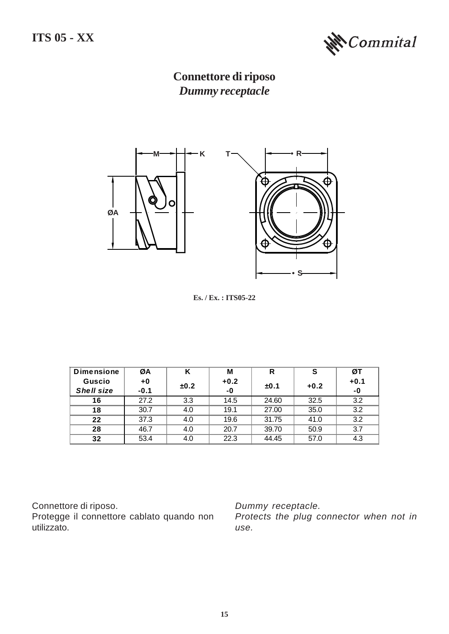

**Connettore di riposo** *Dummy receptacle*



**Es. / Ex. : ITS05-22**

| <b>Dimensione</b> | ØA     | Κ    | M      | R     |        | ØТ     |
|-------------------|--------|------|--------|-------|--------|--------|
| <b>Guscio</b>     | $+0$   | ±0.2 | $+0.2$ | ±0.1  | $+0.2$ | $+0.1$ |
| Shell size        | $-0.1$ |      | -0     |       |        | -0     |
| 16                | 27.2   | 3.3  | 14.5   | 24.60 | 32.5   | 32     |
| 18                | 30.7   |      | 19.1   | 27.00 | 35.0   | 3.2    |
| フフ                | 37.3   | 4.0  | 19.6   | 31.75 | 41 O   | 32     |
| 28                | 46.7   |      | 20.7   | 39.70 | 50.9   | ? 7    |
|                   | 53.4   |      | 22.3   | 44.45 | 57.0   |        |

Connettore di riposo.

Protegge il connettore cablato quando non utilizzato.

*Dummy receptacle.*

*Protects the plug connector when not in use.*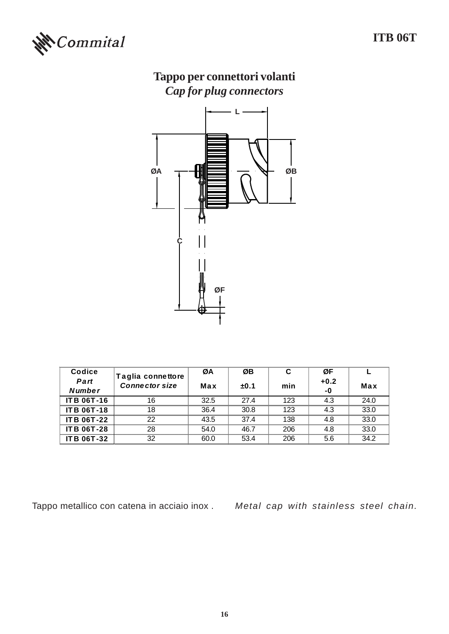

# **Tappo per connettori volanti** *Cap for plug connectors*



| Codice             | Taglia connettore     | ØA   | ØB   | C   | ØF     |      |
|--------------------|-----------------------|------|------|-----|--------|------|
| Part               | <b>Connector size</b> | Max  | ±0.1 | min | $+0.2$ | Max  |
| <b>Number</b>      |                       |      |      |     | $-0$   |      |
| <b>ITB 06T-16</b>  | 16                    | 32.5 | 274  | 123 | 4.3    | 24.0 |
| <b>IT B 06T-18</b> | 18                    | 36.4 | 30.8 | 123 | 4.3    | 33.0 |
| <b>IT B 06T-22</b> | 22                    | 43.5 | 37.4 | 138 | 4.8    | 33.0 |
| <b>IT B 06T-28</b> | 28                    | 54.0 | 46.7 | 206 | 4.8    | 33.0 |
| <b>IT B 06T-32</b> | 32                    | 60.0 | 53.4 | 206 | 5.6    | 34.2 |

Tappo metallico con catena in acciaio inox . *Metal cap with stainless steel chain.*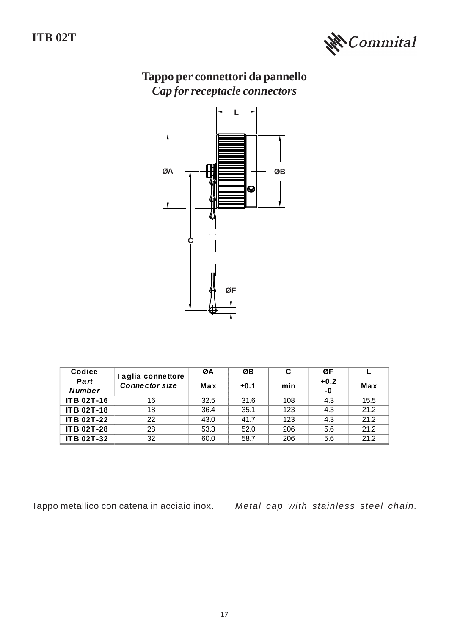

# **Tappo per connettori da pannello** *Cap for receptacle connectors*



| Codice             | Taglia connettore     | ØA   | ØB   | C   | ØF     |      |
|--------------------|-----------------------|------|------|-----|--------|------|
| Part               | <b>Connector size</b> | Max  | ±0.1 | min | $+0.2$ | Max  |
| <b>Number</b>      |                       |      |      |     | $-0$   |      |
| <b>IT B 02T-16</b> | 16                    | 32.5 | 31.6 | 108 | 4.3    | 15.5 |
| <b>IT B 02T-18</b> | 18                    | 36.4 | 35.1 | 123 | 4.3    | 21.2 |
| <b>IT B 02T-22</b> | 22                    | 43.0 | 417  | 123 | 4.3    | 21.2 |
| <b>IT B 02T-28</b> | 28                    | 53.3 | 52.0 | 206 | 5.6    | 21.2 |
| <b>IT B 02T-32</b> | 32                    | 60.0 | 58.7 | 206 | 5.6    | 21.2 |

Tappo metallico con catena in acciaio inox. *Metal cap with stainless steel chain.*